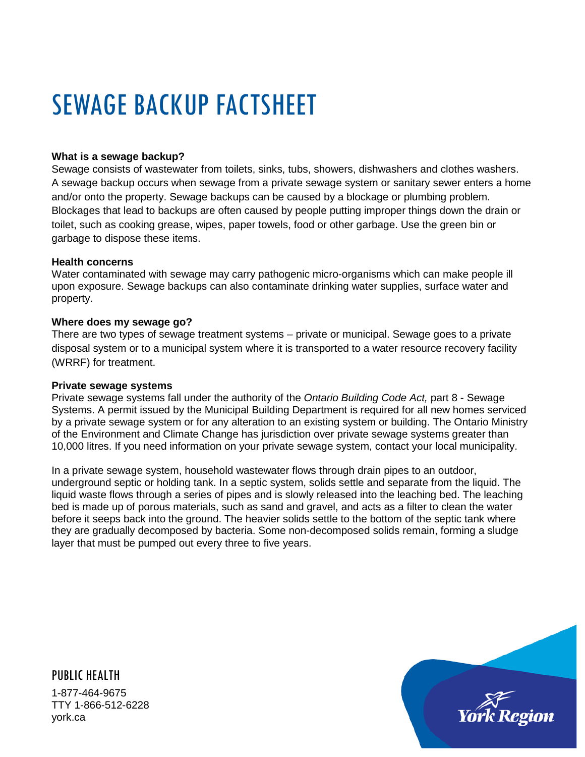# SEWAGE BACKUP FACTSHEET

# **What is a sewage backup?**

Sewage consists of wastewater from toilets, sinks, tubs, showers, dishwashers and clothes washers. A sewage backup occurs when sewage from a private sewage system or sanitary sewer enters a home and/or onto the property. Sewage backups can be caused by a blockage or plumbing problem. Blockages that lead to backups are often caused by people putting improper things down the drain or toilet, such as cooking grease, wipes, paper towels, food or other garbage. Use the green bin or garbage to dispose these items.

#### **Health concerns**

Water contaminated with sewage may carry pathogenic micro-organisms which can make people ill upon exposure. Sewage backups can also contaminate drinking water supplies, surface water and property.

#### **Where does my sewage go?**

There are two types of sewage treatment systems – private or municipal. Sewage goes to a private disposal system or to a municipal system where it is transported to a water resource recovery facility (WRRF) for treatment.

#### **Private sewage systems**

Private sewage systems fall under the authority of the *Ontario Building Code Act,* part 8 - Sewage Systems. A permit issued by the Municipal Building Department is required for all new homes serviced by a private sewage system or for any alteration to an existing system or building. The Ontario Ministry of the Environment and Climate Change has jurisdiction over private sewage systems greater than 10,000 litres. If you need information on your private sewage system, contact your local municipality.

In a private sewage system, household wastewater flows through drain pipes to an outdoor, underground septic or holding tank. In a septic system, solids settle and separate from the liquid. The liquid waste flows through a series of pipes and is slowly released into the leaching bed. The leaching bed is made up of porous materials, such as sand and gravel, and acts as a filter to clean the water before it seeps back into the ground. The heavier solids settle to the bottom of the septic tank where they are gradually decomposed by bacteria. Some non-decomposed solids remain, forming a sludge layer that must be pumped out every three to five years.

PUBLIC HEALTH 1-877-464-9675 TTY 1-866-512-6228 york.ca

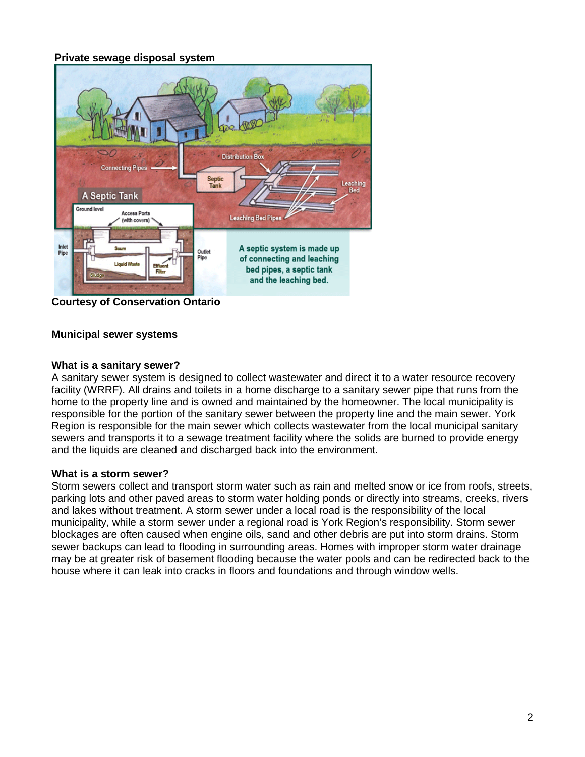# **Private sewage disposal system**



**Courtesy of Conservation Ontario** 

## **Municipal sewer systems**

#### **What is a sanitary sewer?**

A sanitary sewer system is designed to collect wastewater and direct it to a water resource recovery facility (WRRF). All drains and toilets in a home discharge to a sanitary sewer pipe that runs from the home to the property line and is owned and maintained by the homeowner. The local municipality is responsible for the portion of the sanitary sewer between the property line and the main sewer. York Region is responsible for the main sewer which collects wastewater from the local municipal sanitary sewers and transports it to a sewage treatment facility where the solids are burned to provide energy and the liquids are cleaned and discharged back into the environment.

## **What is a storm sewer?**

Storm sewers collect and transport storm water such as rain and melted snow or ice from roofs, streets, parking lots and other paved areas to storm water holding ponds or directly into streams, creeks, rivers and lakes without treatment. A storm sewer under a local road is the responsibility of the local municipality, while a storm sewer under a regional road is York Region's responsibility. Storm sewer blockages are often caused when engine oils, sand and other debris are put into storm drains. Storm sewer backups can lead to flooding in surrounding areas. Homes with improper storm water drainage may be at greater risk of basement flooding because the water pools and can be redirected back to the house where it can leak into cracks in floors and foundations and through window wells.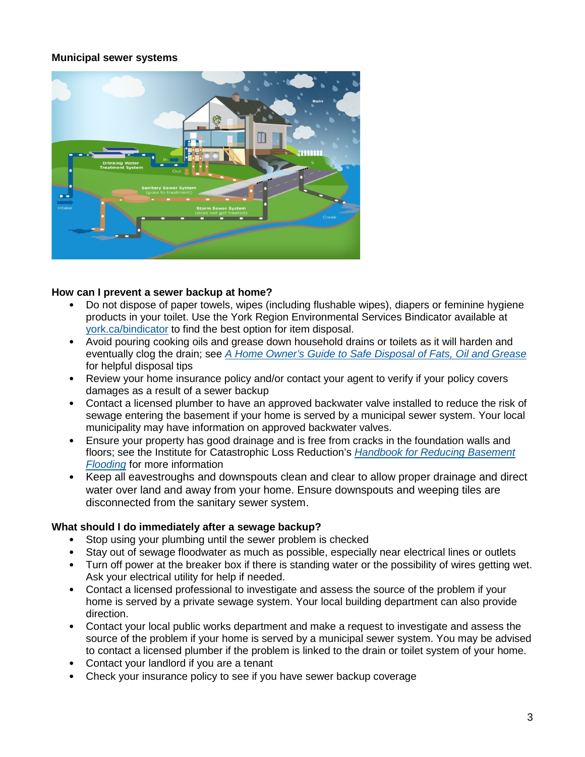## **Municipal sewer systems**



#### **How can I prevent a sewer backup at home?**

- Do not dispose of paper towels, wipes (including flushable wipes), diapers or feminine hygiene products in your toilet. Use the York Region Environmental Services Bindicator available at [york.ca/bindicator](http://www.york.ca/wps/portal/yorkhome/environment/bindicator/) to find the best option for item disposal.
- Avoid pouring cooking oils and grease down household drains or toilets as it will harden and eventually clog the drain; see *[A Home Owner's Guide to Safe Disposal](http://www.york.ca/wps/wcm/connect/yorkpublic/8f969ea7-3ffd-4bf0-90e6-29625d356c65/FatOilandGreaseResidentialBrochure.pdf?MOD=AJPERES&CACHEID=8f969ea7-3ffd-4bf0-90e6-29625d356c65&attachment=true) of Fats, Oil and Grease* for helpful disposal tips
- Review your home insurance policy and/or contact your agent to verify if your policy covers damages as a result of a sewer backup
- Contact a licensed plumber to have an approved backwater valve installed to reduce the risk of sewage entering the basement if your home is served by a municipal sewer system. Your local municipality may have information on approved backwater valves.
- Ensure your property has good drainage and is free from cracks in the foundation walls and floors; see the Institute for Catastrophic Loss Reduction's *[Handbook for Reducing Basement](https://www.iclr.org/wp-content/uploads/PDFS/handbook-for-reducing-basement-flooding.pdf)  [Flooding](https://www.iclr.org/wp-content/uploads/PDFS/handbook-for-reducing-basement-flooding.pdf)* for more information
- Keep all eavestroughs and downspouts clean and clear to allow proper drainage and direct water over land and away from your home. Ensure downspouts and weeping tiles are disconnected from the sanitary sewer system.

#### **What should I do immediately after a sewage backup?**

- Stop using your plumbing until the sewer problem is checked
- Stay out of sewage floodwater as much as possible, especially near electrical lines or outlets
- Turn off power at the breaker box if there is standing water or the possibility of wires getting wet. Ask your electrical utility for help if needed.
- Contact a licensed professional to investigate and assess the source of the problem if your home is served by a private sewage system. Your local building department can also provide direction.
- Contact your local public works department and make a request to investigate and assess the source of the problem if your home is served by a municipal sewer system. You may be advised to contact a licensed plumber if the problem is linked to the drain or toilet system of your home.
- Contact your landlord if you are a tenant
- Check your insurance policy to see if you have sewer backup coverage